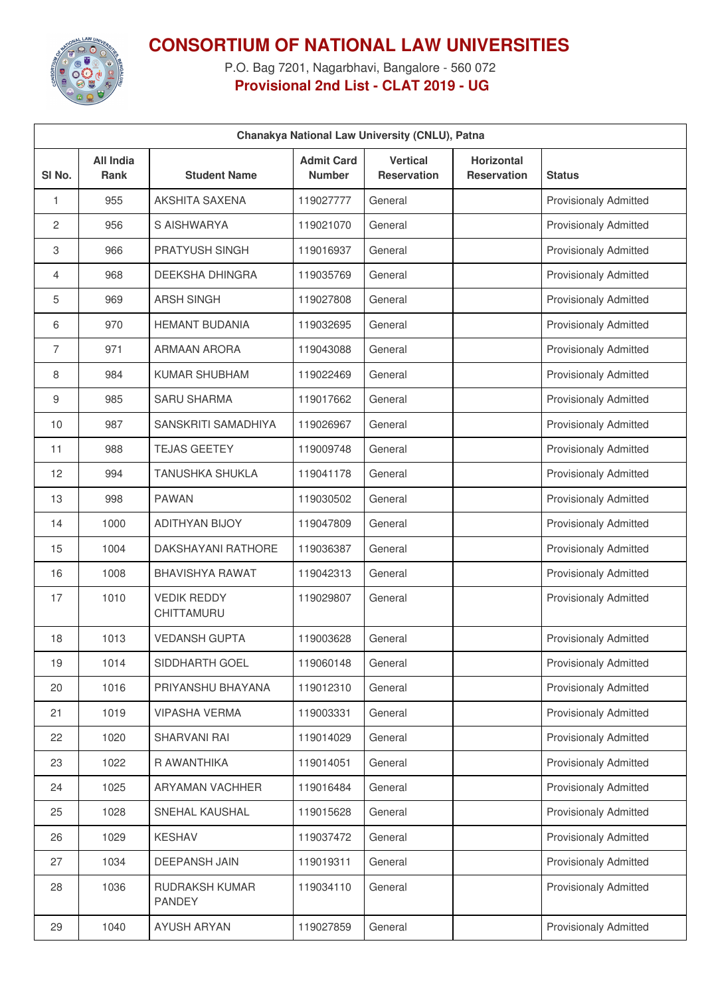

## **CONSORTIUM OF NATIONAL LAW UNIVERSITIES**

P.O. Bag 7201, Nagarbhavi, Bangalore - 560 072 **Provisional 2nd List - CLAT 2019 - UG**

| Chanakya National Law University (CNLU), Patna |                                 |                                  |                                    |                                       |                                         |                              |  |
|------------------------------------------------|---------------------------------|----------------------------------|------------------------------------|---------------------------------------|-----------------------------------------|------------------------------|--|
| SI No.                                         | <b>All India</b><br><b>Rank</b> | <b>Student Name</b>              | <b>Admit Card</b><br><b>Number</b> | <b>Vertical</b><br><b>Reservation</b> | <b>Horizontal</b><br><b>Reservation</b> | <b>Status</b>                |  |
| 1                                              | 955                             | AKSHITA SAXENA                   | 119027777                          | General                               |                                         | <b>Provisionaly Admitted</b> |  |
| 2                                              | 956                             | S AISHWARYA                      | 119021070                          | General                               |                                         | <b>Provisionaly Admitted</b> |  |
| 3                                              | 966                             | <b>PRATYUSH SINGH</b>            | 119016937                          | General                               |                                         | <b>Provisionaly Admitted</b> |  |
| 4                                              | 968                             | DEEKSHA DHINGRA                  | 119035769                          | General                               |                                         | <b>Provisionaly Admitted</b> |  |
| 5                                              | 969                             | <b>ARSH SINGH</b>                | 119027808                          | General                               |                                         | <b>Provisionaly Admitted</b> |  |
| 6                                              | 970                             | <b>HEMANT BUDANIA</b>            | 119032695                          | General                               |                                         | <b>Provisionaly Admitted</b> |  |
| 7                                              | 971                             | <b>ARMAAN ARORA</b>              | 119043088                          | General                               |                                         | <b>Provisionaly Admitted</b> |  |
| 8                                              | 984                             | <b>KUMAR SHUBHAM</b>             | 119022469                          | General                               |                                         | <b>Provisionaly Admitted</b> |  |
| 9                                              | 985                             | <b>SARU SHARMA</b>               | 119017662                          | General                               |                                         | <b>Provisionaly Admitted</b> |  |
| 10                                             | 987                             | SANSKRITI SAMADHIYA              | 119026967                          | General                               |                                         | <b>Provisionaly Admitted</b> |  |
| 11                                             | 988                             | <b>TEJAS GEETEY</b>              | 119009748                          | General                               |                                         | <b>Provisionaly Admitted</b> |  |
| 12                                             | 994                             | <b>TANUSHKA SHUKLA</b>           | 119041178                          | General                               |                                         | <b>Provisionaly Admitted</b> |  |
| 13                                             | 998                             | <b>PAWAN</b>                     | 119030502                          | General                               |                                         | <b>Provisionaly Admitted</b> |  |
| 14                                             | 1000                            | <b>ADITHYAN BIJOY</b>            | 119047809                          | General                               |                                         | <b>Provisionaly Admitted</b> |  |
| 15                                             | 1004                            | <b>DAKSHAYANI RATHORE</b>        | 119036387                          | General                               |                                         | <b>Provisionaly Admitted</b> |  |
| 16                                             | 1008                            | <b>BHAVISHYA RAWAT</b>           | 119042313                          | General                               |                                         | <b>Provisionaly Admitted</b> |  |
| 17                                             | 1010                            | <b>VEDIK REDDY</b><br>CHITTAMURU | 119029807                          | General                               |                                         | <b>Provisionaly Admitted</b> |  |
| 18                                             | 1013                            | <b>VEDANSH GUPTA</b>             | 119003628                          | General                               |                                         | <b>Provisionaly Admitted</b> |  |
| 19                                             | 1014                            | SIDDHARTH GOEL                   | 119060148                          | General                               |                                         | <b>Provisionaly Admitted</b> |  |
| 20                                             | 1016                            | PRIYANSHU BHAYANA                | 119012310                          | General                               |                                         | <b>Provisionaly Admitted</b> |  |
| 21                                             | 1019                            | <b>VIPASHA VERMA</b>             | 119003331                          | General                               |                                         | <b>Provisionaly Admitted</b> |  |
| 22                                             | 1020                            | SHARVANI RAI                     | 119014029                          | General                               |                                         | <b>Provisionaly Admitted</b> |  |
| 23                                             | 1022                            | R AWANTHIKA                      | 119014051                          | General                               |                                         | <b>Provisionaly Admitted</b> |  |
| 24                                             | 1025                            | ARYAMAN VACHHER                  | 119016484                          | General                               |                                         | <b>Provisionaly Admitted</b> |  |
| 25                                             | 1028                            | SNEHAL KAUSHAL                   | 119015628                          | General                               |                                         | Provisionaly Admitted        |  |
| 26                                             | 1029                            | <b>KESHAV</b>                    | 119037472                          | General                               |                                         | <b>Provisionaly Admitted</b> |  |
| 27                                             | 1034                            | DEEPANSH JAIN                    | 119019311                          | General                               |                                         | Provisionaly Admitted        |  |
| 28                                             | 1036                            | RUDRAKSH KUMAR<br><b>PANDEY</b>  | 119034110                          | General                               |                                         | <b>Provisionaly Admitted</b> |  |
| 29                                             | 1040                            | <b>AYUSH ARYAN</b>               | 119027859                          | General                               |                                         | Provisionaly Admitted        |  |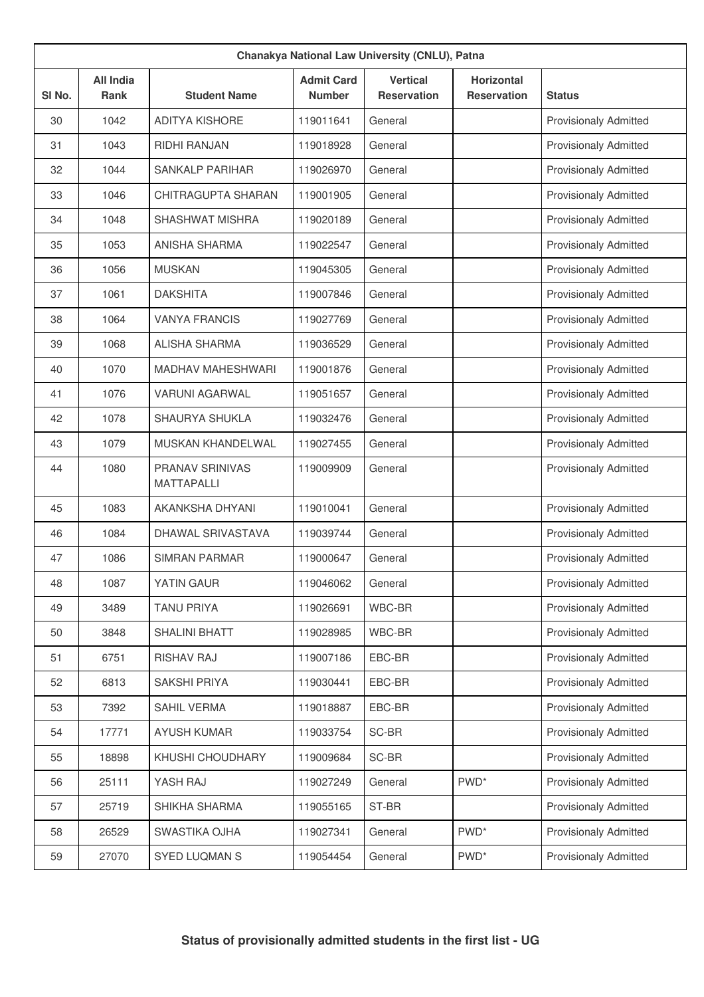| Chanakya National Law University (CNLU), Patna |                                 |                                             |                                    |                                       |                                         |                              |  |
|------------------------------------------------|---------------------------------|---------------------------------------------|------------------------------------|---------------------------------------|-----------------------------------------|------------------------------|--|
| SI <sub>No.</sub>                              | <b>All India</b><br><b>Rank</b> | <b>Student Name</b>                         | <b>Admit Card</b><br><b>Number</b> | <b>Vertical</b><br><b>Reservation</b> | <b>Horizontal</b><br><b>Reservation</b> | <b>Status</b>                |  |
| 30                                             | 1042                            | <b>ADITYA KISHORE</b>                       | 119011641                          | General                               |                                         | <b>Provisionaly Admitted</b> |  |
| 31                                             | 1043                            | RIDHI RANJAN                                | 119018928                          | General                               |                                         | <b>Provisionaly Admitted</b> |  |
| 32                                             | 1044                            | <b>SANKALP PARIHAR</b>                      | 119026970                          | General                               |                                         | <b>Provisionaly Admitted</b> |  |
| 33                                             | 1046                            | CHITRAGUPTA SHARAN                          | 119001905                          | General                               |                                         | <b>Provisionaly Admitted</b> |  |
| 34                                             | 1048                            | <b>SHASHWAT MISHRA</b>                      | 119020189                          | General                               |                                         | <b>Provisionaly Admitted</b> |  |
| 35                                             | 1053                            | <b>ANISHA SHARMA</b>                        | 119022547                          | General                               |                                         | Provisionaly Admitted        |  |
| 36                                             | 1056                            | <b>MUSKAN</b>                               | 119045305                          | General                               |                                         | <b>Provisionaly Admitted</b> |  |
| 37                                             | 1061                            | <b>DAKSHITA</b>                             | 119007846                          | General                               |                                         | Provisionaly Admitted        |  |
| 38                                             | 1064                            | <b>VANYA FRANCIS</b>                        | 119027769                          | General                               |                                         | <b>Provisionaly Admitted</b> |  |
| 39                                             | 1068                            | <b>ALISHA SHARMA</b>                        | 119036529                          | General                               |                                         | Provisionaly Admitted        |  |
| 40                                             | 1070                            | <b>MADHAV MAHESHWARI</b>                    | 119001876                          | General                               |                                         | <b>Provisionaly Admitted</b> |  |
| 41                                             | 1076                            | <b>VARUNI AGARWAL</b>                       | 119051657                          | General                               |                                         | <b>Provisionaly Admitted</b> |  |
| 42                                             | 1078                            | <b>SHAURYA SHUKLA</b>                       | 119032476                          | General                               |                                         | <b>Provisionaly Admitted</b> |  |
| 43                                             | 1079                            | <b>MUSKAN KHANDELWAL</b>                    | 119027455                          | General                               |                                         | <b>Provisionaly Admitted</b> |  |
| 44                                             | 1080                            | <b>PRANAV SRINIVAS</b><br><b>MATTAPALLI</b> | 119009909                          | General                               |                                         | <b>Provisionaly Admitted</b> |  |
| 45                                             | 1083                            | <b>AKANKSHA DHYANI</b>                      | 119010041                          | General                               |                                         | <b>Provisionaly Admitted</b> |  |
| 46                                             | 1084                            | DHAWAL SRIVASTAVA                           | 119039744                          | General                               |                                         | <b>Provisionaly Admitted</b> |  |
| 47                                             | 1086                            | <b>SIMRAN PARMAR</b>                        | 119000647                          | General                               |                                         | <b>Provisionaly Admitted</b> |  |
| 48                                             | 1087                            | YATIN GAUR                                  | 119046062                          | General                               |                                         | <b>Provisionaly Admitted</b> |  |
| 49                                             | 3489                            | <b>TANU PRIYA</b>                           | 119026691                          | WBC-BR                                |                                         | <b>Provisionaly Admitted</b> |  |
| 50                                             | 3848                            | <b>SHALINI BHATT</b>                        | 119028985                          | WBC-BR                                |                                         | Provisionaly Admitted        |  |
| 51                                             | 6751                            | RISHAV RAJ                                  | 119007186                          | EBC-BR                                |                                         | <b>Provisionaly Admitted</b> |  |
| 52                                             | 6813                            | SAKSHI PRIYA                                | 119030441                          | EBC-BR                                |                                         | Provisionaly Admitted        |  |
| 53                                             | 7392                            | SAHIL VERMA                                 | 119018887                          | EBC-BR                                |                                         | <b>Provisionaly Admitted</b> |  |
| 54                                             | 17771                           | <b>AYUSH KUMAR</b>                          | 119033754                          | SC-BR                                 |                                         | Provisionaly Admitted        |  |
| 55                                             | 18898                           | KHUSHI CHOUDHARY                            | 119009684                          | SC-BR                                 |                                         | Provisionaly Admitted        |  |
| 56                                             | 25111                           | YASH RAJ                                    | 119027249                          | General                               | PWD <sup>*</sup>                        | Provisionaly Admitted        |  |
| 57                                             | 25719                           | SHIKHA SHARMA                               | 119055165                          | ST-BR                                 |                                         | <b>Provisionaly Admitted</b> |  |
| 58                                             | 26529                           | SWASTIKA OJHA                               | 119027341                          | General                               | PWD <sup>*</sup>                        | Provisionaly Admitted        |  |
| 59                                             | 27070                           | SYED LUQMAN S                               | 119054454                          | General                               | PWD <sup>*</sup>                        | Provisionaly Admitted        |  |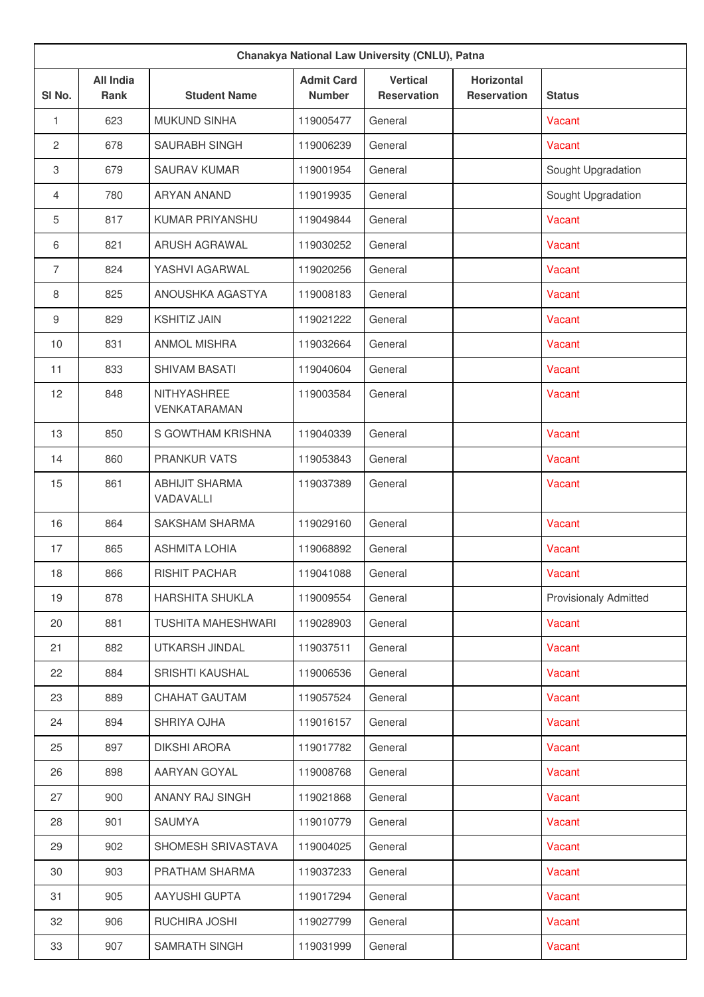|                | Chanakya National Law University (CNLU), Patna |                                    |                                    |                                       |                                         |                              |  |  |
|----------------|------------------------------------------------|------------------------------------|------------------------------------|---------------------------------------|-----------------------------------------|------------------------------|--|--|
| SI No.         | <b>All India</b><br><b>Rank</b>                | <b>Student Name</b>                | <b>Admit Card</b><br><b>Number</b> | <b>Vertical</b><br><b>Reservation</b> | <b>Horizontal</b><br><b>Reservation</b> | <b>Status</b>                |  |  |
| 1              | 623                                            | <b>MUKUND SINHA</b>                | 119005477                          | General                               |                                         | Vacant                       |  |  |
| 2              | 678                                            | <b>SAURABH SINGH</b>               | 119006239                          | General                               |                                         | Vacant                       |  |  |
| 3              | 679                                            | <b>SAURAV KUMAR</b>                | 119001954                          | General                               |                                         | Sought Upgradation           |  |  |
| $\overline{4}$ | 780                                            | <b>ARYAN ANAND</b>                 | 119019935                          | General                               |                                         | Sought Upgradation           |  |  |
| 5              | 817                                            | KUMAR PRIYANSHU                    | 119049844                          | General                               |                                         | Vacant                       |  |  |
| 6              | 821                                            | <b>ARUSH AGRAWAL</b>               | 119030252                          | General                               |                                         | Vacant                       |  |  |
| $\overline{7}$ | 824                                            | YASHVI AGARWAL                     | 119020256                          | General                               |                                         | Vacant                       |  |  |
| 8              | 825                                            | ANOUSHKA AGASTYA                   | 119008183                          | General                               |                                         | Vacant                       |  |  |
| 9              | 829                                            | <b>KSHITIZ JAIN</b>                | 119021222                          | General                               |                                         | Vacant                       |  |  |
| 10             | 831                                            | <b>ANMOL MISHRA</b>                | 119032664                          | General                               |                                         | Vacant                       |  |  |
| 11             | 833                                            | <b>SHIVAM BASATI</b>               | 119040604                          | General                               |                                         | Vacant                       |  |  |
| 12             | 848                                            | NITHYASHREE<br>VENKATARAMAN        | 119003584                          | General                               |                                         | Vacant                       |  |  |
| 13             | 850                                            | S GOWTHAM KRISHNA                  | 119040339                          | General                               |                                         | Vacant                       |  |  |
| 14             | 860                                            | <b>PRANKUR VATS</b>                | 119053843                          | General                               |                                         | Vacant                       |  |  |
| 15             | 861                                            | <b>ABHIJIT SHARMA</b><br>VADAVALLI | 119037389                          | General                               |                                         | Vacant                       |  |  |
| 16             | 864                                            | <b>SAKSHAM SHARMA</b>              | 119029160                          | General                               |                                         | Vacant                       |  |  |
| 17             | 865                                            | <b>ASHMITA LOHIA</b>               | 119068892                          | General                               |                                         | Vacant                       |  |  |
| 18             | 866                                            | RISHIT PACHAR                      | 119041088                          | General                               |                                         | Vacant                       |  |  |
| 19             | 878                                            | <b>HARSHITA SHUKLA</b>             | 119009554                          | General                               |                                         | <b>Provisionaly Admitted</b> |  |  |
| 20             | 881                                            | <b>TUSHITA MAHESHWARI</b>          | 119028903                          | General                               |                                         | Vacant                       |  |  |
| 21             | 882                                            | UTKARSH JINDAL                     | 119037511                          | General                               |                                         | Vacant                       |  |  |
| 22             | 884                                            | <b>SRISHTI KAUSHAL</b>             | 119006536                          | General                               |                                         | Vacant                       |  |  |
| 23             | 889                                            | CHAHAT GAUTAM                      | 119057524                          | General                               |                                         | Vacant                       |  |  |
| 24             | 894                                            | SHRIYA OJHA                        | 119016157                          | General                               |                                         | Vacant                       |  |  |
| 25             | 897                                            | DIKSHI ARORA                       | 119017782                          | General                               |                                         | Vacant                       |  |  |
| 26             | 898                                            | AARYAN GOYAL                       | 119008768                          | General                               |                                         | Vacant                       |  |  |
| 27             | 900                                            | ANANY RAJ SINGH                    | 119021868                          | General                               |                                         | Vacant                       |  |  |
| 28             | 901                                            | <b>SAUMYA</b>                      | 119010779                          | General                               |                                         | Vacant                       |  |  |
| 29             | 902                                            | SHOMESH SRIVASTAVA                 | 119004025                          | General                               |                                         | Vacant                       |  |  |
| 30             | 903                                            | PRATHAM SHARMA                     | 119037233                          | General                               |                                         | Vacant                       |  |  |
| 31             | 905                                            | AAYUSHI GUPTA                      | 119017294                          | General                               |                                         | Vacant                       |  |  |
| 32             | 906                                            | RUCHIRA JOSHI                      | 119027799                          | General                               |                                         | Vacant                       |  |  |
| 33             | 907                                            | SAMRATH SINGH                      | 119031999                          | General                               |                                         | Vacant                       |  |  |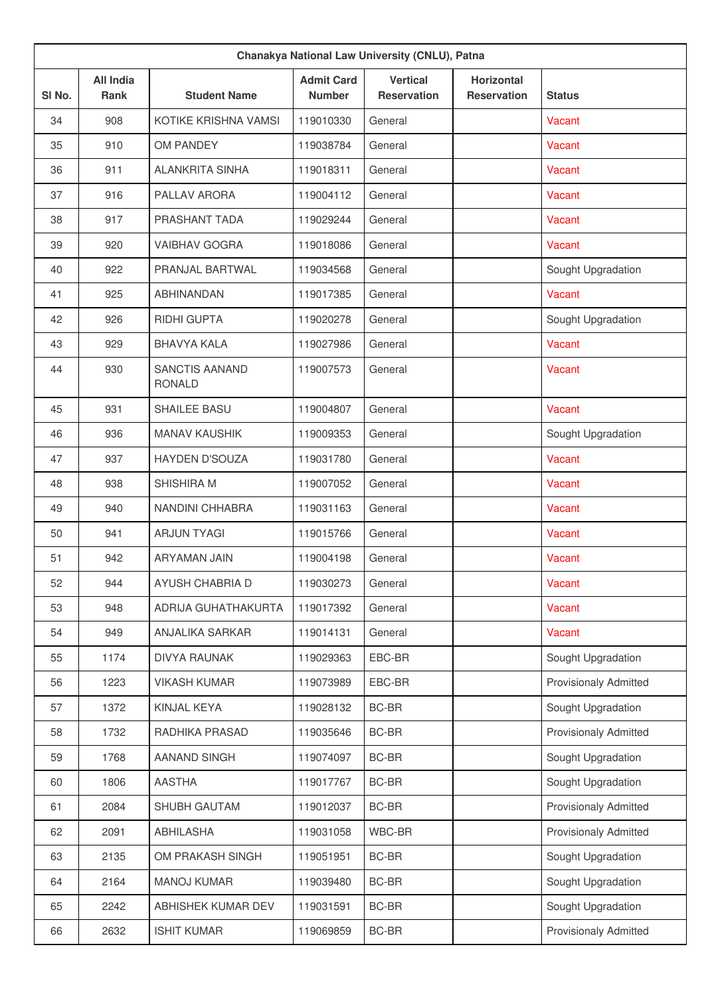|                   | Chanakya National Law University (CNLU), Patna |                                        |                                    |                                       |                                         |                              |  |
|-------------------|------------------------------------------------|----------------------------------------|------------------------------------|---------------------------------------|-----------------------------------------|------------------------------|--|
| SI <sub>No.</sub> | <b>All India</b><br><b>Rank</b>                | <b>Student Name</b>                    | <b>Admit Card</b><br><b>Number</b> | <b>Vertical</b><br><b>Reservation</b> | <b>Horizontal</b><br><b>Reservation</b> | <b>Status</b>                |  |
| 34                | 908                                            | KOTIKE KRISHNA VAMSI                   | 119010330                          | General                               |                                         | Vacant                       |  |
| 35                | 910                                            | OM PANDEY                              | 119038784                          | General                               |                                         | Vacant                       |  |
| 36                | 911                                            | <b>ALANKRITA SINHA</b>                 | 119018311                          | General                               |                                         | Vacant                       |  |
| 37                | 916                                            | <b>PALLAV ARORA</b>                    | 119004112                          | General                               |                                         | Vacant                       |  |
| 38                | 917                                            | <b>PRASHANT TADA</b>                   | 119029244                          | General                               |                                         | Vacant                       |  |
| 39                | 920                                            | <b>VAIBHAV GOGRA</b>                   | 119018086                          | General                               |                                         | Vacant                       |  |
| 40                | 922                                            | PRANJAL BARTWAL                        | 119034568                          | General                               |                                         | Sought Upgradation           |  |
| 41                | 925                                            | <b>ABHINANDAN</b>                      | 119017385                          | General                               |                                         | Vacant                       |  |
| 42                | 926                                            | <b>RIDHI GUPTA</b>                     | 119020278                          | General                               |                                         | Sought Upgradation           |  |
| 43                | 929                                            | <b>BHAVYA KALA</b>                     | 119027986                          | General                               |                                         | Vacant                       |  |
| 44                | 930                                            | <b>SANCTIS AANAND</b><br><b>RONALD</b> | 119007573                          | General                               |                                         | Vacant                       |  |
| 45                | 931                                            | SHAILEE BASU                           | 119004807                          | General                               |                                         | Vacant                       |  |
| 46                | 936                                            | <b>MANAV KAUSHIK</b>                   | 119009353                          | General                               |                                         | Sought Upgradation           |  |
| 47                | 937                                            | <b>HAYDEN D'SOUZA</b>                  | 119031780                          | General                               |                                         | Vacant                       |  |
| 48                | 938                                            | <b>SHISHIRA M</b>                      | 119007052                          | General                               |                                         | Vacant                       |  |
| 49                | 940                                            | NANDINI CHHABRA                        | 119031163                          | General                               |                                         | Vacant                       |  |
| 50                | 941                                            | <b>ARJUN TYAGI</b>                     | 119015766                          | General                               |                                         | Vacant                       |  |
| 51                | 942                                            | ARYAMAN JAIN                           | 119004198                          | General                               |                                         | Vacant                       |  |
| 52                | 944                                            | AYUSH CHABRIA D                        | 119030273                          | General                               |                                         | Vacant                       |  |
| 53                | 948                                            | ADRIJA GUHATHAKURTA                    | 119017392                          | General                               |                                         | Vacant                       |  |
| 54                | 949                                            | ANJALIKA SARKAR                        | 119014131                          | General                               |                                         | Vacant                       |  |
| 55                | 1174                                           | <b>DIVYA RAUNAK</b>                    | 119029363                          | EBC-BR                                |                                         | Sought Upgradation           |  |
| 56                | 1223                                           | <b>VIKASH KUMAR</b>                    | 119073989                          | EBC-BR                                |                                         | <b>Provisionaly Admitted</b> |  |
| 57                | 1372                                           | KINJAL KEYA                            | 119028132                          | BC-BR                                 |                                         | Sought Upgradation           |  |
| 58                | 1732                                           | RADHIKA PRASAD                         | 119035646                          | BC-BR                                 |                                         | <b>Provisionaly Admitted</b> |  |
| 59                | 1768                                           | AANAND SINGH                           | 119074097                          | BC-BR                                 |                                         | Sought Upgradation           |  |
| 60                | 1806                                           | <b>AASTHA</b>                          | 119017767                          | BC-BR                                 |                                         | Sought Upgradation           |  |
| 61                | 2084                                           | SHUBH GAUTAM                           | 119012037                          | BC-BR                                 |                                         | <b>Provisionaly Admitted</b> |  |
| 62                | 2091                                           | ABHILASHA                              | 119031058                          | WBC-BR                                |                                         | <b>Provisionaly Admitted</b> |  |
| 63                | 2135                                           | OM PRAKASH SINGH                       | 119051951                          | BC-BR                                 |                                         | Sought Upgradation           |  |
| 64                | 2164                                           | <b>MANOJ KUMAR</b>                     | 119039480                          | BC-BR                                 |                                         | Sought Upgradation           |  |
| 65                | 2242                                           | ABHISHEK KUMAR DEV                     | 119031591                          | BC-BR                                 |                                         | Sought Upgradation           |  |
| 66                | 2632                                           | <b>ISHIT KUMAR</b>                     | 119069859                          | BC-BR                                 |                                         | <b>Provisionaly Admitted</b> |  |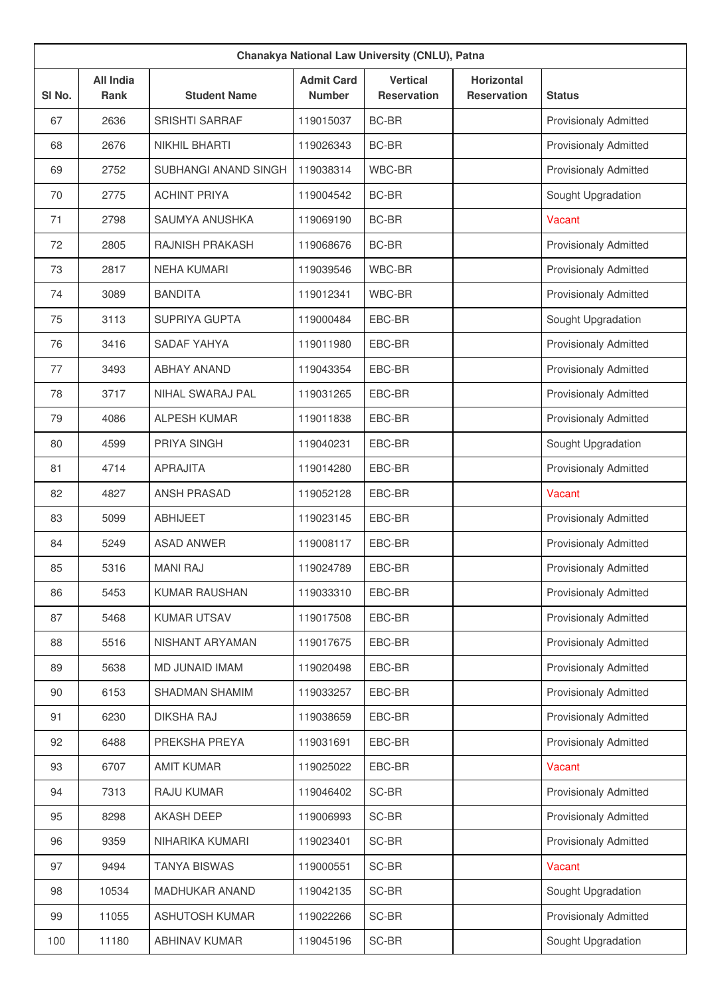| Chanakya National Law University (CNLU), Patna |                          |                        |                                    |                                |                                         |                              |  |
|------------------------------------------------|--------------------------|------------------------|------------------------------------|--------------------------------|-----------------------------------------|------------------------------|--|
| SI No.                                         | <b>All India</b><br>Rank | <b>Student Name</b>    | <b>Admit Card</b><br><b>Number</b> | <b>Vertical</b><br>Reservation | <b>Horizontal</b><br><b>Reservation</b> | <b>Status</b>                |  |
| 67                                             | 2636                     | <b>SRISHTI SARRAF</b>  | 119015037                          | <b>BC-BR</b>                   |                                         | <b>Provisionaly Admitted</b> |  |
| 68                                             | 2676                     | <b>NIKHIL BHARTI</b>   | 119026343                          | <b>BC-BR</b>                   |                                         | <b>Provisionaly Admitted</b> |  |
| 69                                             | 2752                     | SUBHANGI ANAND SINGH   | 119038314                          | WBC-BR                         |                                         | <b>Provisionaly Admitted</b> |  |
| 70                                             | 2775                     | <b>ACHINT PRIYA</b>    | 119004542                          | <b>BC-BR</b>                   |                                         | Sought Upgradation           |  |
| 71                                             | 2798                     | SAUMYA ANUSHKA         | 119069190                          | BC-BR                          |                                         | Vacant                       |  |
| 72                                             | 2805                     | <b>RAJNISH PRAKASH</b> | 119068676                          | <b>BC-BR</b>                   |                                         | <b>Provisionaly Admitted</b> |  |
| 73                                             | 2817                     | <b>NEHA KUMARI</b>     | 119039546                          | WBC-BR                         |                                         | <b>Provisionaly Admitted</b> |  |
| 74                                             | 3089                     | <b>BANDITA</b>         | 119012341                          | WBC-BR                         |                                         | <b>Provisionaly Admitted</b> |  |
| 75                                             | 3113                     | <b>SUPRIYA GUPTA</b>   | 119000484                          | EBC-BR                         |                                         | Sought Upgradation           |  |
| 76                                             | 3416                     | SADAF YAHYA            | 119011980                          | EBC-BR                         |                                         | <b>Provisionaly Admitted</b> |  |
| 77                                             | 3493                     | <b>ABHAY ANAND</b>     | 119043354                          | EBC-BR                         |                                         | <b>Provisionaly Admitted</b> |  |
| 78                                             | 3717                     | NIHAL SWARAJ PAL       | 119031265                          | EBC-BR                         |                                         | <b>Provisionaly Admitted</b> |  |
| 79                                             | 4086                     | <b>ALPESH KUMAR</b>    | 119011838                          | EBC-BR                         |                                         | <b>Provisionaly Admitted</b> |  |
| 80                                             | 4599                     | PRIYA SINGH            | 119040231                          | EBC-BR                         |                                         | Sought Upgradation           |  |
| 81                                             | 4714                     | <b>APRAJITA</b>        | 119014280                          | EBC-BR                         |                                         | <b>Provisionaly Admitted</b> |  |
| 82                                             | 4827                     | <b>ANSH PRASAD</b>     | 119052128                          | EBC-BR                         |                                         | Vacant                       |  |
| 83                                             | 5099                     | <b>ABHIJEET</b>        | 119023145                          | EBC-BR                         |                                         | <b>Provisionaly Admitted</b> |  |
| 84                                             | 5249                     | <b>ASAD ANWER</b>      | 119008117                          | EBC-BR                         |                                         | <b>Provisionaly Admitted</b> |  |
| 85                                             | 5316                     | <b>MANI RAJ</b>        | 119024789                          | EBC-BR                         |                                         | <b>Provisionaly Admitted</b> |  |
| 86                                             | 5453                     | <b>KUMAR RAUSHAN</b>   | 119033310                          | EBC-BR                         |                                         | <b>Provisionaly Admitted</b> |  |
| 87                                             | 5468                     | <b>KUMAR UTSAV</b>     | 119017508                          | EBC-BR                         |                                         | Provisionaly Admitted        |  |
| 88                                             | 5516                     | NISHANT ARYAMAN        | 119017675                          | EBC-BR                         |                                         | <b>Provisionaly Admitted</b> |  |
| 89                                             | 5638                     | MD JUNAID IMAM         | 119020498                          | EBC-BR                         |                                         | Provisionaly Admitted        |  |
| 90                                             | 6153                     | SHADMAN SHAMIM         | 119033257                          | EBC-BR                         |                                         | <b>Provisionaly Admitted</b> |  |
| 91                                             | 6230                     | <b>DIKSHA RAJ</b>      | 119038659                          | EBC-BR                         |                                         | <b>Provisionaly Admitted</b> |  |
| 92                                             | 6488                     | PREKSHA PREYA          | 119031691                          | EBC-BR                         |                                         | <b>Provisionaly Admitted</b> |  |
| 93                                             | 6707                     | <b>AMIT KUMAR</b>      | 119025022                          | EBC-BR                         |                                         | Vacant                       |  |
| 94                                             | 7313                     | RAJU KUMAR             | 119046402                          | SC-BR                          |                                         | <b>Provisionaly Admitted</b> |  |
| 95                                             | 8298                     | <b>AKASH DEEP</b>      | 119006993                          | SC-BR                          |                                         | Provisionaly Admitted        |  |
| 96                                             | 9359                     | NIHARIKA KUMARI        | 119023401                          | SC-BR                          |                                         | <b>Provisionaly Admitted</b> |  |
| 97                                             | 9494                     | <b>TANYA BISWAS</b>    | 119000551                          | SC-BR                          |                                         | Vacant                       |  |
| 98                                             | 10534                    | <b>MADHUKAR ANAND</b>  | 119042135                          | SC-BR                          |                                         | Sought Upgradation           |  |
| 99                                             | 11055                    | <b>ASHUTOSH KUMAR</b>  | 119022266                          | SC-BR                          |                                         | Provisionaly Admitted        |  |
| 100                                            | 11180                    | <b>ABHINAV KUMAR</b>   | 119045196                          | SC-BR                          |                                         | Sought Upgradation           |  |